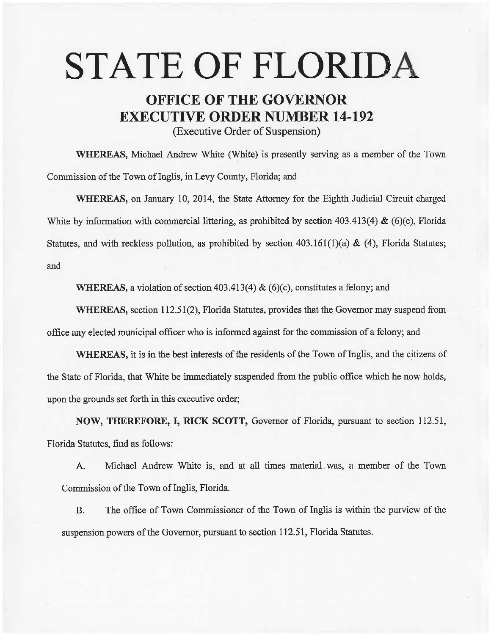# **STATE OF FLORIDA**

# **OFFICE OF THE GOVERNOR EXECUTIVE ORDER NUMBER 14-192**

(Executive Order of Suspension)

WHEREAS, Michael Andrew White (White) is presently serving as a member of the Town Commission of the Town of Inglis, in Levy County, Florida; and

WHEREAS, on January 10, 2014, the State Attorney for the Eighth Judicial Circuit charged White by information with commercial littering, as prohibited by section 403.413(4) & (6)(c), Florida Statutes, and with reckless pollution, as prohibited by section  $403.161(1)(a) \& (4)$ , Florida Statutes; and

WHEREAS, a violation of section 403.413(4)  $\&$  (6)(c), constitutes a felony; and

WHEREAS, section 112.51(2), Florida Statutes, provides that the Governor may suspend from office any elected municipal officer who is informed against for the commission of a felony; and

WHEREAS, it is in the best interests of the residents of the Town of Inglis, and the citizens of the State of Florida, that White be immediately suspended from the public office which he now holds, upon the grounds set forth in this executive order;

NOW, THEREFORE, I, RICK SCOTT, Governor of Florida, pursuant to section 112.51, Florida Statutes, find as follows:

A. Michael Andrew White is, and at all times material. was, a member of the Town Commission of the Town of Inglis, Florida.

B. The office of Town Commissioner of the Town of Inglis is within the purview of the suspension powers of the Governor, pursuant to section 112.51, Florida Statutes.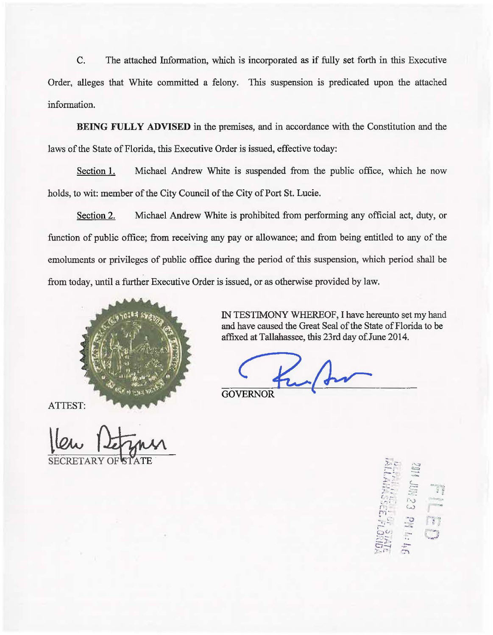C. The attached Information, which is incorporated as if fully set forth in this Executive Order, alleges that White committed a felony. This suspension is predicated upon the attached information.

BEING FULLY ADVISED in the premises, and in accordance with the Constitution and the laws of the State of Florida, this Executive Order is issued, effective today:

Section 1. Michael Andrew White is suspended from the public office, which he now holds, to wit: member of the City Council of the City of Port St. Lucie.

Section 2. Michael Andrew White is prohibited from performing any official act, duty, or function of public office; from receiving any pay or allowance; and from being entitled to any of the emoluments or privileges of public office during the period of this suspension, which period shall be from today, until a further Executive Order is issued, or as otherwise provided by law.



ATTEST:

IN TESTIMONY WHEREOF, I have hereunto set my hand and have caused the Great Seal of the State of Florida to be affixed at Tallahassee, this 23rd day of June 2014.

**GOVERNOF** 

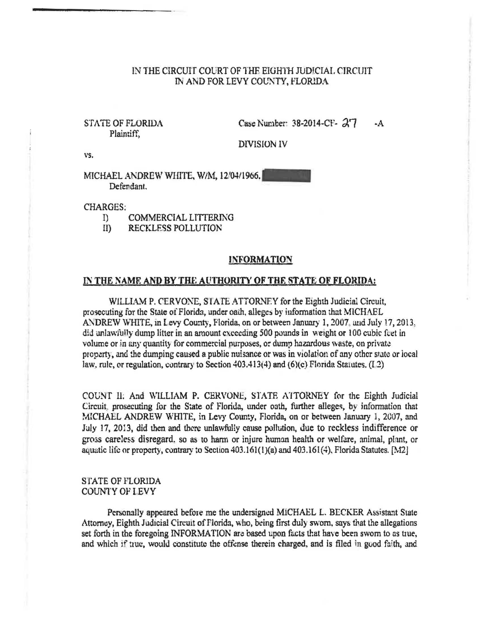# IN THE CIRCUIT COURT OF THE EIGHTH JUDICIAL CIRCUIT IN AND FOR LEVY COUNTY, FLORIDA

# STATE OF FLORIDA Plaintiff.

Case Number: 38-2014-CF- 27  $-A$ 

**DIVISION IV** 

vs.

MICHAEL ANDREW WHITE, W/M, 12/04/1966. Defendant.

#### **CHARGES:**

- $\mathbb{I}$ **COMMERCIAL LITTERING**
- $ID$ **RECKLESS POLLUTION**

#### **INFORMATION**

### IN THE NAME AND BY THE AUTHORITY OF THE STATE OF FLORIDA:

WILLIAM P. CERVONE, STATE ATTORNEY for the Eighth Judicial Circuit, prosecuting for the State of Florida, under oath, alleges by information that MICHAEL ANDREW WHITE, in Levy County, Florida, on or between January 1, 2007, and July 17, 2013. did unlawfully dump litter in an amount exceeding 500 pounds in weight or 100 cubic feet in volume or in any quantity for commercial purposes, or dump hazardous waste, on private property, and the dumping caused a public nuisance or was in violation of any other state or local law, rule, or regulation, contrary to Section 403.413(4) and (6)(c) Florida Statutes, (1.2)

COUNT II: And WILLIAM P. CERVONE, STATE ATTORNEY for the Eighth Judicial Circuit, prosecuting for the State of Florida, under oath, further alleges, by information that MICHAEL ANDREW WHITE, in Levy County, Florida, on or between January 1, 2007, and July 17, 2013, did then and there unlawfully cause pollution, due to reckless indifference or gross careless disregard, so as to harm or injure human health or welfare, animal, plant, or aquatic life or property, contrary to Section 403.161(1)(a) and 403.161(4), Florida Statutes. [M2]

# **STATE OF FLORIDA COUNTY OF LEVY**

Personally appeared before me the undersigned MICHAEL L. BECKER Assistant State Attorney, Eighth Judicial Circuit of Florida, who, being first duly sworn, says that the allegations set forth in the foregoing INFORMATION are based upon facts that have been sworn to as true, and which if true, would constitute the offense therein charged, and is filed in good faith, and